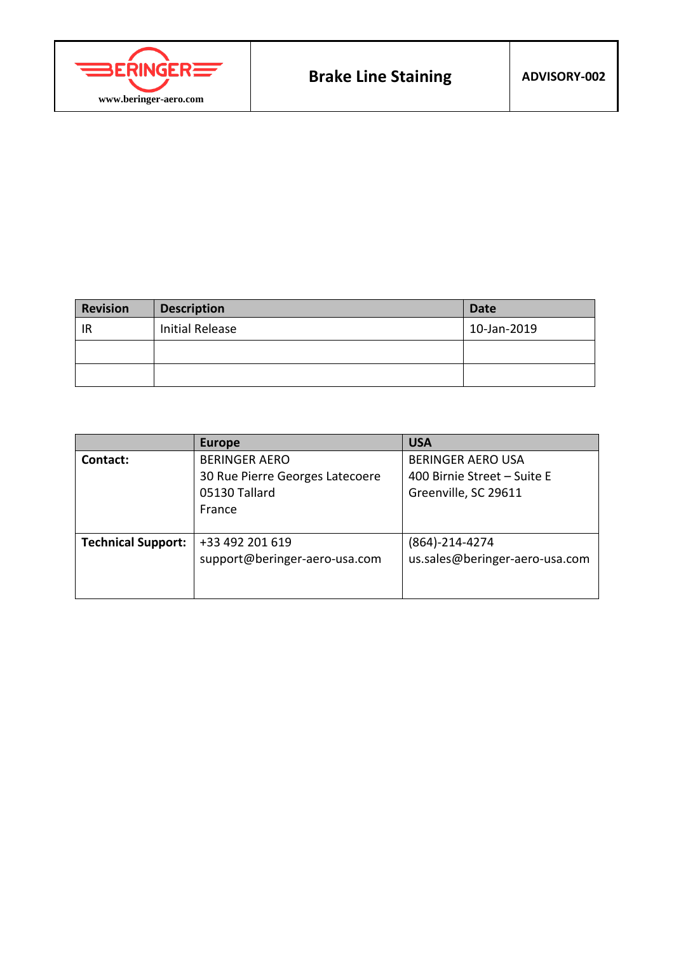

| <b>Revision</b> | <b>Description</b>     | <b>Date</b> |
|-----------------|------------------------|-------------|
| IR              | <b>Initial Release</b> | 10-Jan-2019 |
|                 |                        |             |
|                 |                        |             |

|                           | <b>Europe</b>                   | <b>USA</b>                     |
|---------------------------|---------------------------------|--------------------------------|
| Contact:                  | <b>BERINGER AERO</b>            | <b>BERINGER AERO USA</b>       |
|                           | 30 Rue Pierre Georges Latecoere | 400 Birnie Street – Suite E    |
|                           | 05130 Tallard                   | Greenville, SC 29611           |
|                           | France                          |                                |
|                           |                                 |                                |
| <b>Technical Support:</b> | +33 492 201 619                 | (864)-214-4274                 |
|                           | support@beringer-aero-usa.com   | us.sales@beringer-aero-usa.com |
|                           |                                 |                                |
|                           |                                 |                                |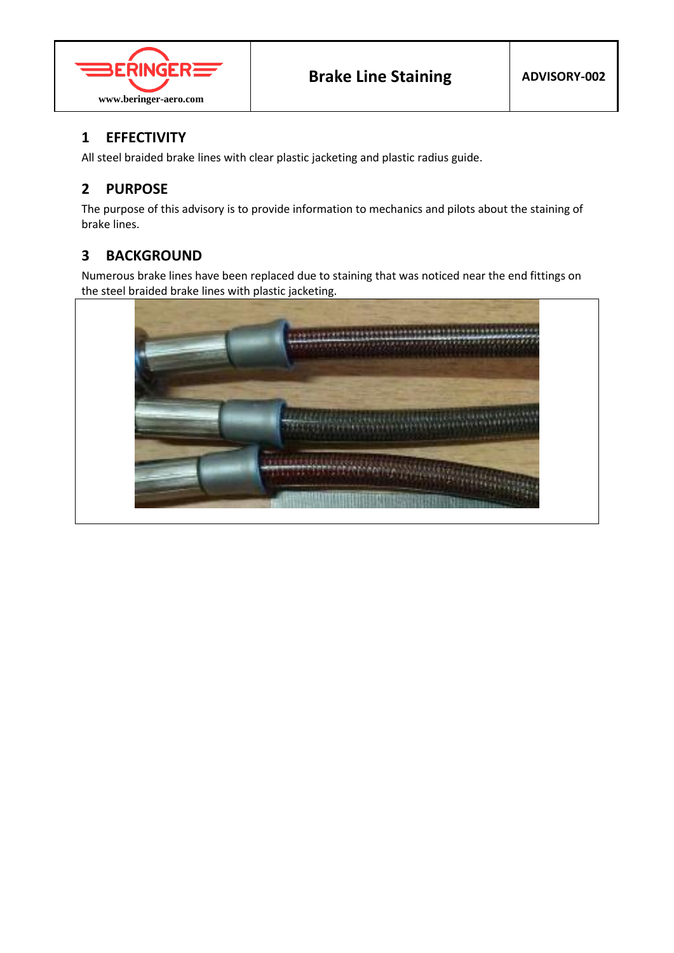

# **1 EFFECTIVITY**

All steel braided brake lines with clear plastic jacketing and plastic radius guide.

# **2 PURPOSE**

The purpose of this advisory is to provide information to mechanics and pilots about the staining of brake lines.

#### **3 BACKGROUND**

Numerous brake lines have been replaced due to staining that was noticed near the end fittings on the steel braided brake lines with plastic jacketing.

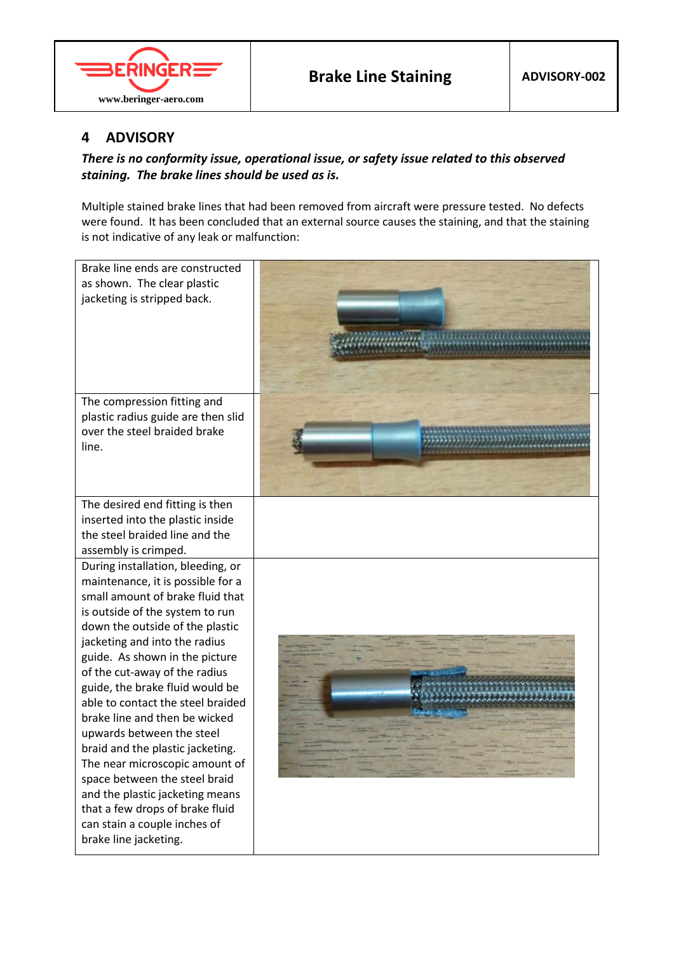

### **4 ADVISORY**

#### *There is no conformity issue, operational issue, or safety issue related to this observed staining. The brake lines should be used as is.*

Multiple stained brake lines that had been removed from aircraft were pressure tested. No defects were found. It has been concluded that an external source causes the staining, and that the staining is not indicative of any leak or malfunction: